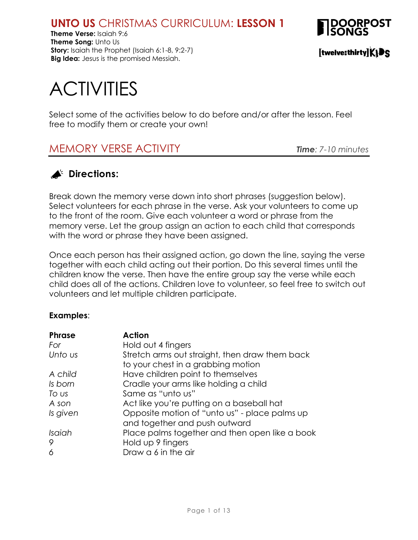**Theme Verse:** Isaiah 9:6 **Theme Song:** Unto Us **Story:** Isaiah the Prophet (Isaiah 6:1-8, 9:2-7) **Big Idea:** Jesus is the promised Messiah.



[twelve:thirty]KIDS

# **ACTIVITIES**

Select some of the activities below to do before and/or after the lesson. Feel free to modify them or create your own!

# MEMORY VERSE ACTIVITY *Time: 7-10 minutes*

# **Directions:**

Break down the memory verse down into short phrases (suggestion below). Select volunteers for each phrase in the verse. Ask your volunteers to come up to the front of the room. Give each volunteer a word or phrase from the memory verse. Let the group assign an action to each child that corresponds with the word or phrase they have been assigned.

Once each person has their assigned action, go down the line, saying the verse together with each child acting out their portion. Do this several times until the children know the verse. Then have the entire group say the verse while each child does all of the actions. Children love to volunteer, so feel free to switch out volunteers and let multiple children participate.

#### **Examples**:

| <b>Phrase</b> | <b>Action</b>                                  |
|---------------|------------------------------------------------|
| For           | Hold out 4 fingers                             |
| Unto us       | Stretch arms out straight, then draw them back |
|               | to your chest in a grabbing motion             |
| A child       | Have children point to themselves              |
| Is born       | Cradle your arms like holding a child          |
| To us         | Same as "unto us"                              |
| A son         | Act like you're putting on a baseball hat      |
| Is given      | Opposite motion of "unto us" - place palms up  |
|               | and together and push outward                  |
| Isaiah        | Place palms together and then open like a book |
| 9             | Hold up 9 fingers                              |
| 6             | Draw a 6 in the air                            |
|               |                                                |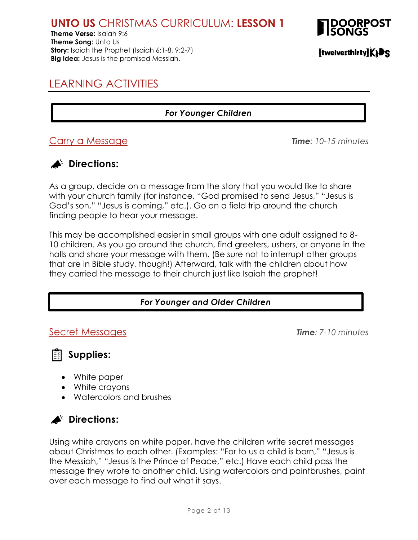**Theme Verse:** Isaiah 9:6 **Theme Song:** Unto Us **Story:** Isaiah the Prophet (Isaiah 6:1-8, 9:2-7) **Big Idea:** Jesus is the promised Messiah.



# LEARNING ACTIVITIES

#### *For Younger Children*

#### Carry a Message *Time: 10-15 minutes*

#### **Directions:**

As a group, decide on a message from the story that you would like to share with your church family (for instance, "God promised to send Jesus," "Jesus is God's son," "Jesus is coming," etc.). Go on a field trip around the church finding people to hear your message.

This may be accomplished easier in small groups with one adult assigned to 8- 10 children. As you go around the church, find greeters, ushers, or anyone in the halls and share your message with them. (Be sure not to interrupt other groups that are in Bible study, though!) Afterward, talk with the children about how they carried the message to their church just like Isaiah the prophet!

#### *For Younger and Older Children*

#### Secret Messages *Time: 7-10 minutes*

**Supplies:**

- White paper
- White crayons
- Watercolors and brushes



Using white crayons on white paper, have the children write secret messages about Christmas to each other. (Examples: "For to us a child is born," "Jesus is the Messiah," "Jesus is the Prince of Peace," etc.) Have each child pass the message they wrote to another child. Using watercolors and paintbrushes, paint over each message to find out what it says.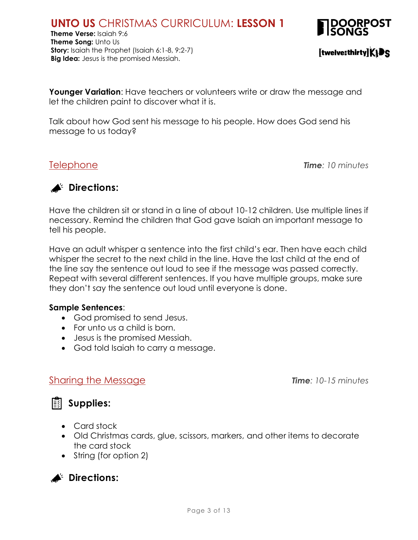**Theme Verse:** Isaiah 9:6 **Theme Song:** Unto Us **Story:** Isaiah the Prophet (Isaiah 6:1-8, 9:2-7) **Big Idea:** Jesus is the promised Messiah.



[twelve:thirty]KIDS

**Younger Variation:** Have teachers or volunteers write or draw the message and let the children paint to discover what it is.

Talk about how God sent his message to his people. How does God send his message to us today?

Telephone *Time: 10 minutes*



Have the children sit or stand in a line of about 10-12 children. Use multiple lines if necessary. Remind the children that God gave Isaiah an important message to tell his people.

Have an adult whisper a sentence into the first child's ear. Then have each child whisper the secret to the next child in the line. Have the last child at the end of the line say the sentence out loud to see if the message was passed correctly. Repeat with several different sentences. If you have multiple groups, make sure they don't say the sentence out loud until everyone is done.

#### **Sample Sentences**:

- God promised to send Jesus.
- For unto us a child is born.
- Jesus is the promised Messiah.
- God told Isaiah to carry a message.

#### Sharing the Message *Time: 10-15 minutes*



- Card stock
- Old Christmas cards, glue, scissors, markers, and other items to decorate the card stock
- String (for option 2)

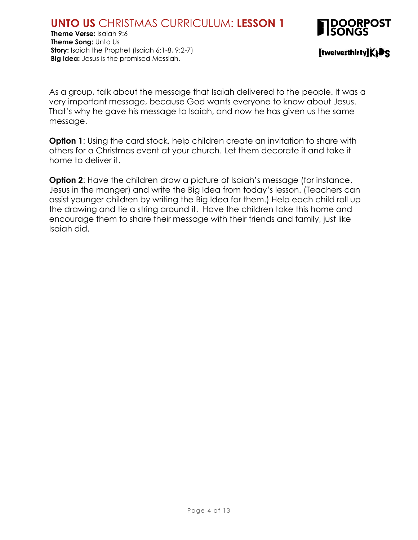

[twelve:thirty]KIDS

As a group, talk about the message that Isaiah delivered to the people. It was a very important message, because God wants everyone to know about Jesus. That's why he gave his message to Isaiah, and now he has given us the same message.

**Option 1**: Using the card stock, help children create an invitation to share with others for a Christmas event at your church. Let them decorate it and take it home to deliver it.

**Option 2:** Have the children draw a picture of Isaiah's message (for instance, Jesus in the manger) and write the Big Idea from today's lesson. (Teachers can assist younger children by writing the Big Idea for them.) Help each child roll up the drawing and tie a string around it. Have the children take this home and encourage them to share their message with their friends and family, just like Isaiah did.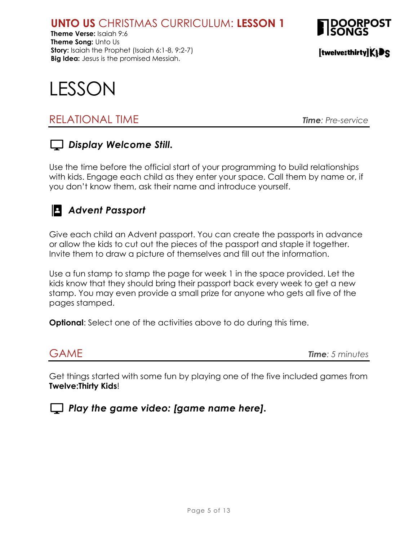**Theme Verse:** Isaiah 9:6 **Theme Song:** Unto Us **Story:** Isaiah the Prophet (Isaiah 6:1-8, 9:2-7) **Big Idea:** Jesus is the promised Messiah.



[twelve:thirty]KIDS



# RELATIONAL TIME *Time: Pre-service*

### *Display Welcome Still.*

Use the time before the official start of your programming to build relationships with kids. Engage each child as they enter your space. Call them by name or, if you don't know them, ask their name and introduce yourself.

# *Advent Passport*

Give each child an Advent passport. You can create the passports in advance or allow the kids to cut out the pieces of the passport and staple it together. Invite them to draw a picture of themselves and fill out the information.

Use a fun stamp to stamp the page for week 1 in the space provided. Let the kids know that they should bring their passport back every week to get a new stamp. You may even provide a small prize for anyone who gets all five of the pages stamped.

**Optional**: Select one of the activities above to do during this time.

GAME *Time: 5 minutes*

Get things started with some fun by playing one of the five included games from **Twelve:Thirty Kids**!

*Play the game video: [game name here].*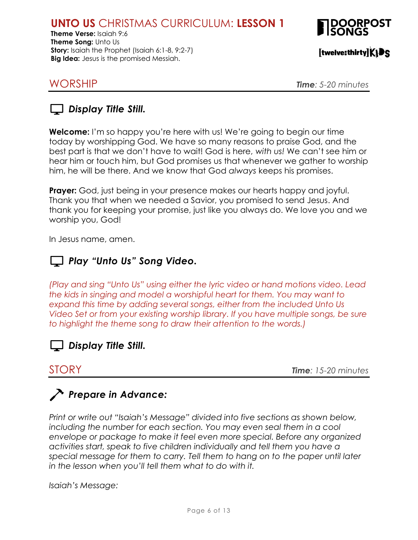**Theme Verse:** Isaiah 9:6 **Theme Song:** Unto Us **Story:** Isaiah the Prophet (Isaiah 6:1-8, 9:2-7) **Big Idea:** Jesus is the promised Messiah.



[twelve:thirty]KIDS

WORSHIP *Time: 5-20 minutes*



**Welcome:** I'm so happy you're here with us! We're going to begin our time today by worshipping God. We have so many reasons to praise God, and the best part is that we don't have to wait! God is here, *with us!* We can't see him or hear him or touch him, but God promises us that whenever we gather to worship him, he will be there. And we know that God *always* keeps his promises.

**Prayer:** God, just being in your presence makes our hearts happy and joyful. Thank you that when we needed a Savior, you promised to send Jesus. And thank you for keeping your promise, just like you always do. We love you and we worship you, God!

In Jesus name, amen.

## *Play "Unto Us" Song Video.*

*(Play and sing "Unto Us" using either the lyric video or hand motions video. Lead the kids in singing and model a worshipful heart for them. You may want to expand this time by adding several songs, either from the included Unto Us Video Set or from your existing worship library. If you have multiple songs, be sure to highlight the theme song to draw their attention to the words.)*



STORY *Time: 15-20 minutes*

# *Prepare in Advance:*

*Print or write out "Isaiah's Message" divided into five sections as shown below, including the number for each section. You may even seal them in a cool envelope or package to make it feel even more special. Before any organized activities start, speak to five children individually and tell them you have a special message for them to carry. Tell them to hang on to the paper until later in the lesson when you'll tell them what to do with it.*

*Isaiah's Message:*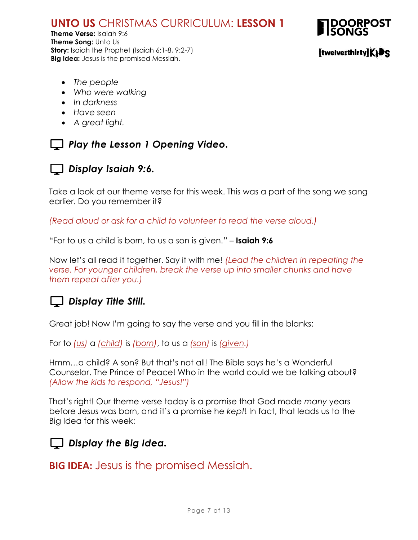**Theme Verse:** Isaiah 9:6 **Theme Song:** Unto Us **Story:** Isaiah the Prophet (Isaiah 6:1-8, 9:2-7) **Big Idea:** Jesus is the promised Messiah.



#### [twelve:thirty]KIDS

- *The people*
- *Who were walking*
- *In darkness*
- *Have seen*
- *A great light.*

#### *Play the Lesson 1 Opening Video.*



#### *Display Isaiah 9:6.*

Take a look at our theme verse for this week. This was a part of the song we sang earlier. Do you remember it?

*(Read aloud or ask for a child to volunteer to read the verse aloud.)*

"For to us a child is born, to us a son is given." – **Isaiah 9:6**

Now let's all read it together. Say it with me! *(Lead the children in repeating the verse. For younger children, break the verse up into smaller chunks and have them repeat after you.)*

#### *Display Title Still.*

Great job! Now I'm going to say the verse and you fill in the blanks:

For to *(us)* a *(child)* is *(born)*, to us a *(son)* is *(given.)*

Hmm…a child? A son? But that's not all! The Bible says he's a Wonderful Counselor. The Prince of Peace! Who in the world could we be talking about? *(Allow the kids to respond, "Jesus!")*

That's right! Our theme verse today is a promise that God made *many* years before Jesus was born, and it's a promise he *kept*! In fact, that leads us to the Big Idea for this week:

#### *Display the Big Idea.*

**BIG IDEA:** Jesus is the promised Messiah.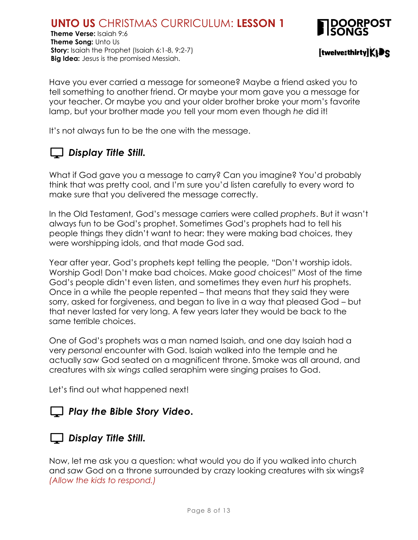**Theme Verse:** Isaiah 9:6 **Theme Song:** Unto Us **Story:** Isaiah the Prophet (Isaiah 6:1-8, 9:2-7) **Big Idea:** Jesus is the promised Messiah.



[twelve:thirty]KIDS

Have you ever carried a message for someone? Maybe a friend asked you to tell something to another friend. Or maybe your mom gave you a message for your teacher. Or maybe you and your older brother broke your mom's favorite lamp, but your brother made *you* tell your mom even though *he* did it!

It's not always fun to be the one with the message.

# *Display Title Still.*

What if God gave you a message to carry? Can you imagine? You'd probably think that was pretty cool, and I'm sure you'd listen carefully to every word to make sure that you delivered the message correctly.

In the Old Testament, God's message carriers were called *prophets*. But it wasn't always fun to be God's prophet. Sometimes God's prophets had to tell his people things they didn't want to hear: they were making bad choices, they were worshipping idols, and that made God sad.

Year after year, God's prophets kept telling the people, "Don't worship idols. Worship God! Don't make bad choices. Make *good* choices!" Most of the time God's people didn't even listen, and sometimes they even *hurt* his prophets. Once in a while the people repented – that means that they said they were sorry, asked for forgiveness, and began to live in a way that pleased God – but that never lasted for very long. A few years later they would be back to the same terrible choices.

One of God's prophets was a man named Isaiah, and one day Isaiah had a very *personal* encounter with God. Isaiah walked into the temple and he actually *saw* God seated on a magnificent throne. Smoke was all around, and creatures with *six wings* called seraphim were singing praises to God.

Let's find out what happened next!

# *Play the Bible Story Video.*

#### *Display Title Still.*

Now, let me ask you a question: what would you do if you walked into church and *saw* God on a throne surrounded by crazy looking creatures with six wings? *(Allow the kids to respond.)*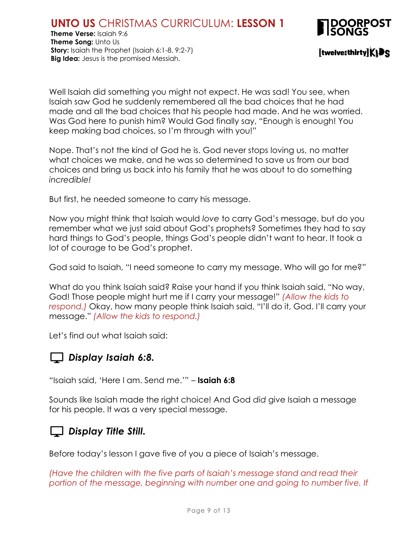



Well Isaiah did something you might not expect. He was sad! You see, when Isaiah saw God he suddenly remembered all the bad choices that he had made and all the bad choices that his people had made. And he was worried. Was God here to punish him? Would God finally say, "Enough is enough! You keep making bad choices, so I'm through with you!"

Nope. That's not the kind of God he is. God never stops loving us, no matter what choices we make, and he was so determined to save us from our bad choices and bring us back into his family that he was about to do something *incredible!*

But first, he needed someone to carry his message.

Now you might think that Isaiah would *love* to carry God's message, but do you remember what we just said about God's prophets? Sometimes they had to say hard things to God's people, things God's people didn't want to hear. It took a lot of courage to be God's prophet.

God said to Isaiah, "I need someone to carry my message. Who will go for me?"

What do you think Isaiah said? Raise your hand if you think Isaiah said, "No way, God! Those people might hurt me if I carry your message!" *(Allow the kids to respond.)* Okay, how many people think Isaiah said, "I'll do it, God. I'll carry your message." *(Allow the kids to respond.)*

Let's find out what Isaiah said:

### *Display Isaiah 6:8.*

"Isaiah said, 'Here I am. Send me.'" – **Isaiah 6:8**

Sounds like Isaiah made the right choice! And God *did* give Isaiah a message for his people. It was a very special message.

#### *Display Title Still.*

Before today's lesson I gave five of you a piece of Isaiah's message.

*(Have the children with the five parts of Isaiah's message stand and read their*  portion of the message, beginning with number one and going to number five. If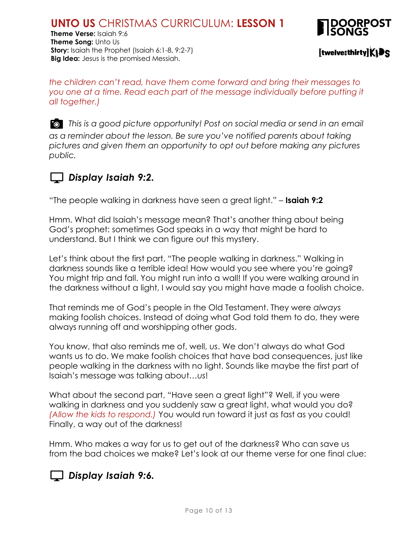**Theme Verse:** Isaiah 9:6 **Theme Song:** Unto Us **Story:** Isaiah the Prophet (Isaiah 6:1-8, 9:2-7) **Big Idea:** Jesus is the promised Messiah.



 $[$ twelve:thirty $K$  $\mathbf{F}$ S

*the children can't read, have them come forward and bring their messages to*  you one at a time. Read each part of the message individually before putting it *all together.)*

*This is a good picture opportunity! Post on social media or send in an email as a reminder about the lesson. Be sure you've notified parents about taking pictures and given them an opportunity to opt out before making any pictures public.*

# *Display Isaiah 9:2.*

"The people walking in darkness have seen a great light." – **Isaiah 9:2**

Hmm. What did Isaiah's message mean? That's another thing about being God's prophet: sometimes God speaks in a way that might be hard to understand. But I think we can figure out this mystery.

Let's think about the first part, "The people walking in darkness." Walking in darkness sounds like a terrible idea! How would you see where you're going? You might trip and fall. You might run into a wall! If you were walking around in the darkness without a light, I would say you might have made a foolish choice.

That reminds me of God's people in the Old Testament. They were *always* making foolish choices. Instead of doing what God told them to do, they were always running off and worshipping other gods.

You know, that also reminds me of, well, *us*. We don't always do what God wants us to do. We make foolish choices that have bad consequences, just like people walking in the darkness with no light. Sounds like maybe the first part of Isaiah's message was talking about…*us*!

What about the second part, "Have seen a great light"? Well, if you were walking in darkness and you suddenly saw a great light, what would you do? *(Allow the kids to respond.)* You would run toward it just as fast as you could! Finally, a way out of the darkness!

Hmm. Who makes a way for us to get out of the darkness? Who can save us from the bad choices we make? Let's look at our theme verse for one final clue:

# *Display Isaiah 9:6.*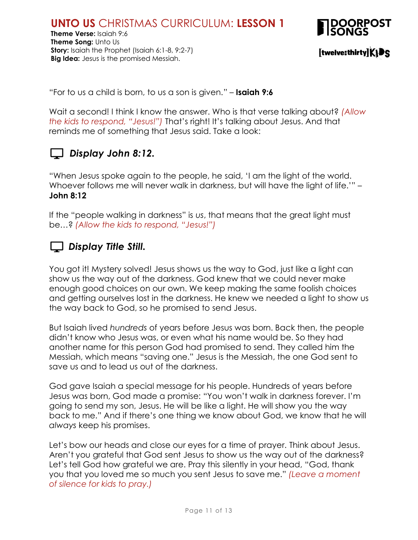

[twelve:thirty]KIDS

"For to us a child is born, to us a son is given." – **Isaiah 9:6**

Wait a second! I think I know the answer. Who is that verse talking about? *(Allow the kids to respond, "Jesus!")* That's right! It's talking about Jesus. And that reminds me of something that Jesus said. Take a look:

# *Display John 8:12.*

"When Jesus spoke again to the people, he said, 'I am the light of the world. Whoever follows me will never walk in darkness, but will have the light of life.'" -**John 8:12**

If the "people walking in darkness" is *us*, that means that the great light must be…? *(Allow the kids to respond, "Jesus!")*

## *Display Title Still.*

You got it! Mystery solved! Jesus shows us the way to God, just like a light can show us the way out of the darkness. God knew that we could never make enough good choices on our own. We keep making the same foolish choices and getting ourselves lost in the darkness. He knew we needed a light to show us the way back to God, so he promised to send Jesus.

But Isaiah lived *hundreds* of years before Jesus was born. Back then, the people didn't know who Jesus was, or even what his name would be. So they had another name for this person God had promised to send. They called him the Messiah, which means "saving one." Jesus is the Messiah, the one God sent to save us and to lead us out of the darkness.

God gave Isaiah a special message for his people. Hundreds of years before Jesus was born, God made a promise: "You won't walk in darkness forever. I'm going to send my son, Jesus. He will be like a light. He will show you the way back to me." And if there's one thing we know about God, we know that he will *always* keep his promises.

Let's bow our heads and close our eyes for a time of prayer. Think about Jesus. Aren't you grateful that God sent Jesus to show us the way out of the darkness? Let's tell God how grateful we are. Pray this silently in your head, "God, thank you that you loved me so much you sent Jesus to save me." *(Leave a moment of silence for kids to pray.)*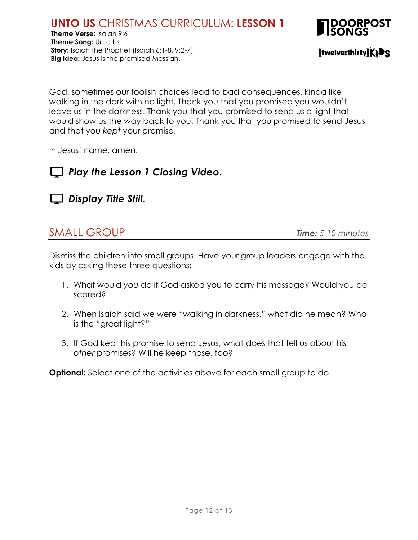

God, sometimes our foolish choices lead to bad consequences, kinda like walking in the dark with no light. Thank you that you promised you wouldn't leave us in the darkness. Thank you that you promised to send us a light that would show us the way back to you. Thank you that you promised to send Jesus, and that you *kept* your promise.

In Jesus' name, amen.





# SMALL GROUP *Time: 5-10 minutes*

Dismiss the children into small groups. Have your group leaders engage with the kids by asking these three questions:

- 1. What would *you* do if God asked you to carry his message? Would you be scared?
- 2. When Isaiah said we were "walking in darkness," what did he mean? Who is the "great light?"
- 3. If God kept his promise to send Jesus, what does that tell us about his *other* promises? Will he keep those, too?

**Optional:** Select one of the activities above for each small group to do.